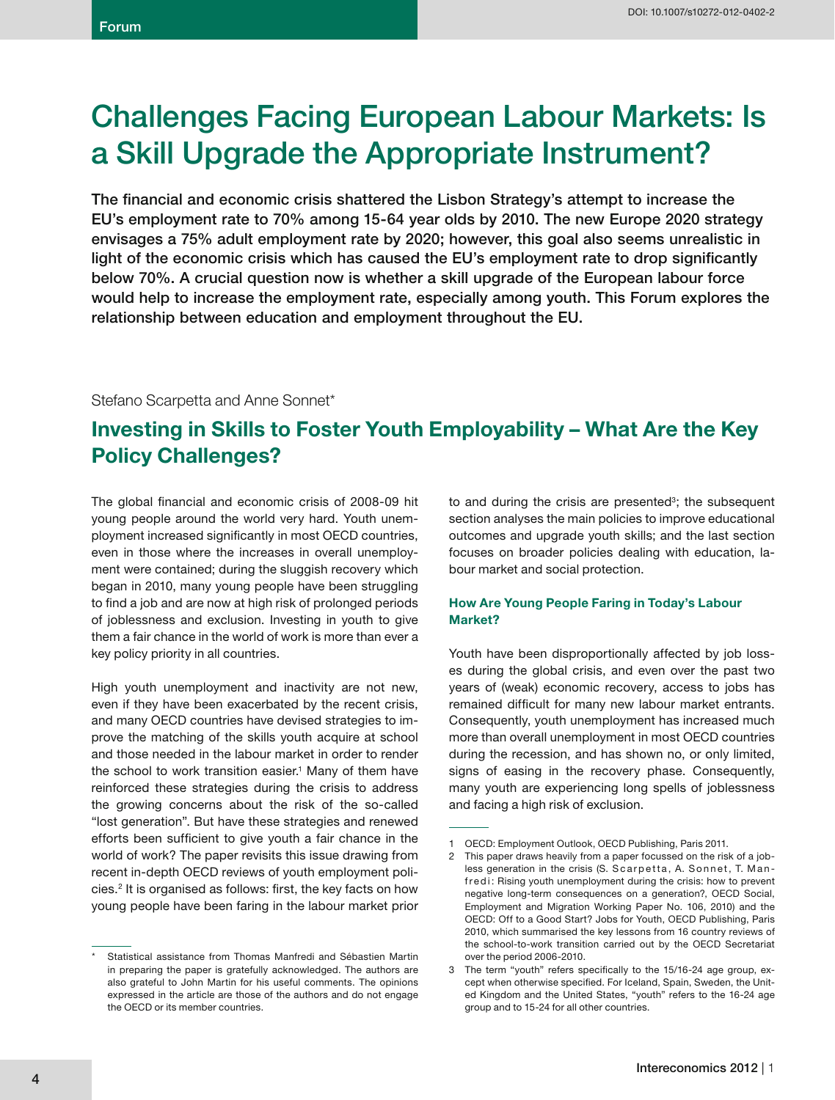# **Challenges Facing European Labour Markets: Is a Skill Upgrade the Appropriate Instrument?**

The financial and economic crisis shattered the Lisbon Strategy's attempt to increase the **EU's employment rate to 70% among 15-64 year olds by 2010. The new Europe 2020 strategy envisages a 75% adult employment rate by 2020; however, this goal also seems unrealistic in**  light of the economic crisis which has caused the EU's employment rate to drop significantly **below 70%. A crucial question now is whether a skill upgrade of the European labour force would help to increase the employment rate, especially among youth. This Forum explores the relationship between education and employment throughout the EU.**

# Stefano Scarpetta and Anne Sonnet\*

# **Investing in Skills to Foster Youth Employability – What Are the Key Policy Challenges?**

The global financial and economic crisis of 2008-09 hit young people around the world very hard. Youth unemployment increased significantly in most OECD countries, even in those where the increases in overall unemployment were contained; during the sluggish recovery which began in 2010, many young people have been struggling to find a job and are now at high risk of prolonged periods of joblessness and exclusion. Investing in youth to give them a fair chance in the world of work is more than ever a key policy priority in all countries.

High youth unemployment and inactivity are not new, even if they have been exacerbated by the recent crisis, and many OECD countries have devised strategies to improve the matching of the skills youth acquire at school and those needed in the labour market in order to render the school to work transition easier.<sup>1</sup> Many of them have reinforced these strategies during the crisis to address the growing concerns about the risk of the so-called "lost generation". But have these strategies and renewed efforts been sufficient to give youth a fair chance in the world of work? The paper revisits this issue drawing from recent in-depth OECD reviews of youth employment policies.<sup>2</sup> It is organised as follows: first, the key facts on how young people have been faring in the labour market prior

to and during the crisis are presented $3$ ; the subsequent section analyses the main policies to improve educational outcomes and upgrade youth skills; and the last section focuses on broader policies dealing with education, labour market and social protection.

# **How Are Young People Faring in Today's Labour Market?**

Youth have been disproportionally affected by job losses during the global crisis, and even over the past two years of (weak) economic recovery, access to jobs has remained difficult for many new labour market entrants. Consequently, youth unemployment has increased much more than overall unemployment in most OECD countries during the recession, and has shown no, or only limited, signs of easing in the recovery phase. Consequently, many youth are experiencing long spells of joblessness and facing a high risk of exclusion.

Statistical assistance from Thomas Manfredi and Sébastien Martin in preparing the paper is gratefully acknowledged. The authors are also grateful to John Martin for his useful comments. The opinions expressed in the article are those of the authors and do not engage the OECD or its member countries.

<sup>1</sup> OECD: Employment Outlook, OECD Publishing, Paris 2011.

<sup>2</sup> This paper draws heavily from a paper focussed on the risk of a jobless generation in the crisis (S. Scarpetta, A. Sonnet, T. Manfred i: Rising youth unemployment during the crisis: how to prevent negative long-term consequences on a generation?, OECD Social, Employment and Migration Working Paper No. 106, 2010) and the OECD: Off to a Good Start? Jobs for Youth, OECD Publishing, Paris 2010, which summarised the key lessons from 16 country reviews of the school-to-work transition carried out by the OECD Secretariat over the period 2006-2010.

<sup>3</sup> The term "youth" refers specifically to the 15/16-24 age group, except when otherwise specified. For Iceland, Spain, Sweden, the United Kingdom and the United States, "youth" refers to the 16-24 age group and to 15-24 for all other countries.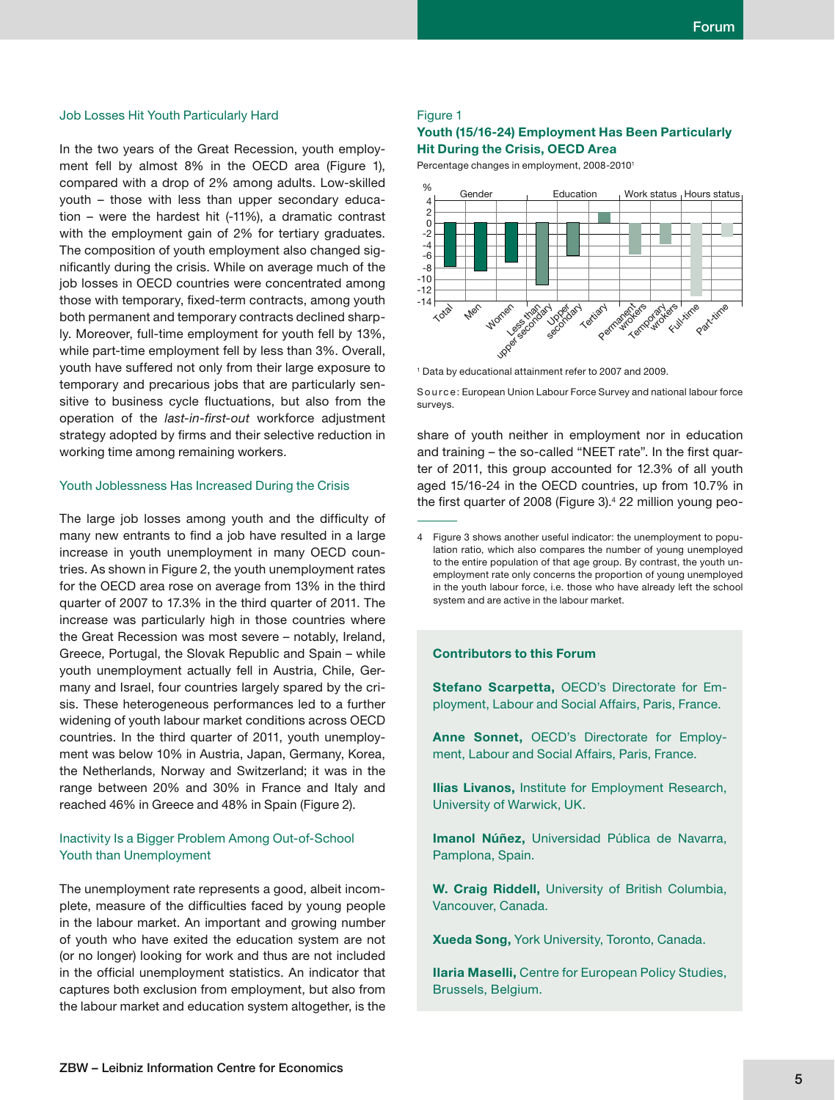#### Job Losses Hit Youth Particularly Hard

In the two years of the Great Recession, youth employment fell by almost 8% in the OECD area (Figure 1), compared with a drop of 2% among adults. Low-skilled youth – those with less than upper secondary education – were the hardest hit (-11%), a dramatic contrast with the employment gain of 2% for tertiary graduates. The composition of youth employment also changed significantly during the crisis. While on average much of the job losses in OECD countries were concentrated among those with temporary, fixed-term contracts, among youth both permanent and temporary contracts declined sharply. Moreover, full-time employment for youth fell by 13%, while part-time employment fell by less than 3%. Overall, youth have suffered not only from their large exposure to temporary and precarious jobs that are particularly sensitive to business cycle fluctuations, but also from the operation of the *last-in-first-out* workforce adjustment strategy adopted by firms and their selective reduction in working time among remaining workers.

#### Youth Joblessness Has Increased During the Crisis

The large job losses among youth and the difficulty of many new entrants to find a job have resulted in a large increase in youth unemployment in many OECD countries. As shown in Figure 2, the youth unemployment rates for the OECD area rose on average from 13% in the third quarter of 2007 to 17.3% in the third quarter of 2011. The increase was particularly high in those countries where the Great Recession was most severe – notably, Ireland, Greece, Portugal, the Slovak Republic and Spain – while youth unemployment actually fell in Austria, Chile, Germany and Israel, four countries largely spared by the crisis. These heterogeneous performances led to a further widening of youth labour market conditions across OECD countries. In the third quarter of 2011, youth unemployment was below 10% in Austria, Japan, Germany, Korea, the Netherlands, Norway and Switzerland; it was in the range between 20% and 30% in France and Italy and reached 46% in Greece and 48% in Spain (Figure 2).

# Inactivity Is a Bigger Problem Among Out-of-School Youth than Unemployment

The unemployment rate represents a good, albeit incomplete, measure of the difficulties faced by young people in the labour market. An important and growing number of youth who have exited the education system are not (or no longer) looking for work and thus are not included in the official unemployment statistics. An indicator that captures both exclusion from employment, but also from the labour market and education system altogether, is the

#### Figure 1

# **Youth (15/16-24) Employment Has Been Particularly Hit During the Crisis, OECD Area**

Percentage changes in employment, 2008-20101



1 Data by educational attainment refer to 2007 and 2009.

Source: European Union Labour Force Survey and national labour force surveys.

share of youth neither in employment nor in education and training - the so-called "NEET rate". In the first quarter of 2011, this group accounted for 12.3% of all youth aged 15/16-24 in the OECD countries, up from 10.7% in the first quarter of 2008 (Figure 3).<sup>4</sup> 22 million young peo-

# **Contributors to this Forum**

**Stefano Scarpetta,** OECD's Directorate for Employment, Labour and Social Affairs, Paris, France.

**Anne Sonnet,** OECD's Directorate for Employment, Labour and Social Affairs, Paris, France.

**Ilias Livanos,** Institute for Employment Research, University of Warwick, UK.

**Imanol Núñez,** Universidad Pública de Navarra, Pamplona, Spain.

**W. Craig Riddell,** University of British Columbia, Vancouver, Canada.

**Xueda Song,** York University, Toronto, Canada.

**Ilaria Maselli,** Centre for European Policy Studies, Brussels, Belgium.

<sup>4</sup> Figure 3 shows another useful indicator: the unemployment to population ratio, which also compares the number of young unemployed to the entire population of that age group. By contrast, the youth unemployment rate only concerns the proportion of young unemployed in the youth labour force, i.e. those who have already left the school system and are active in the labour market.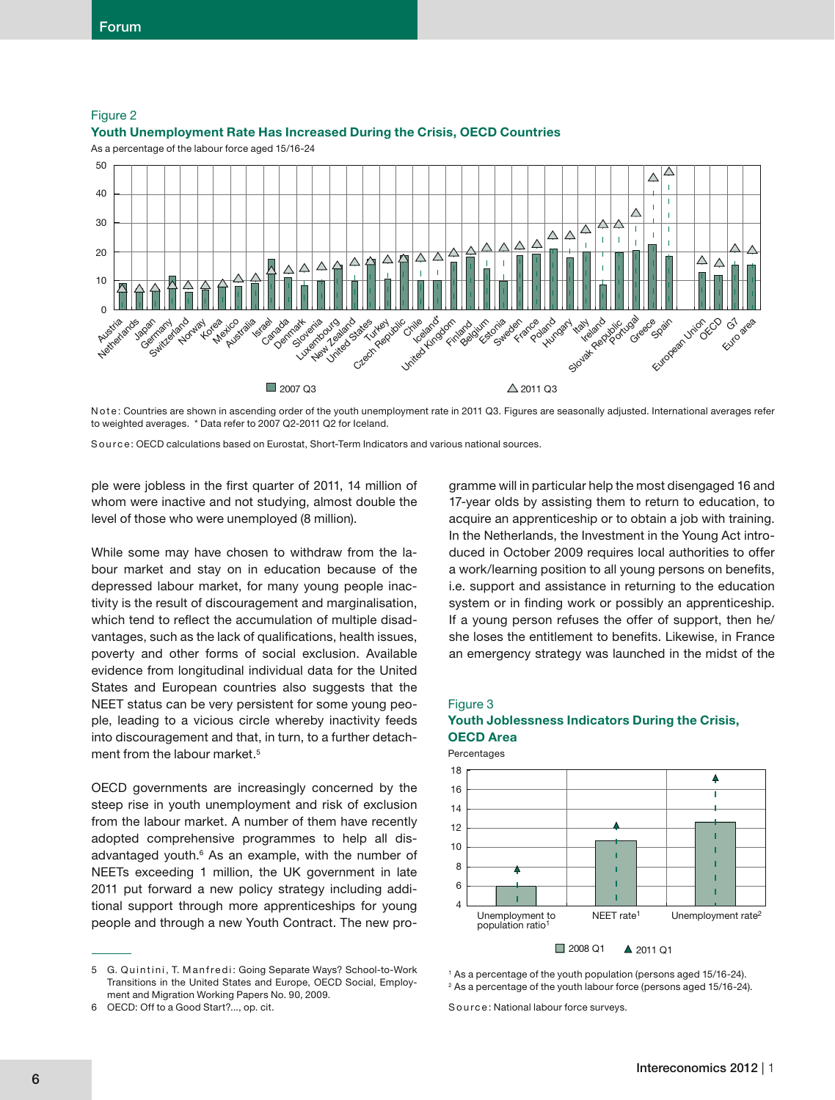Figure 2



# **Youth Unemployment Rate Has Increased During the Crisis, OECD Countries**

Note: Countries are shown in ascending order of the youth unemployment rate in 2011 Q3. Figures are seasonally adjusted. International averages refer to weighted averages. \* Data refer to 2007 Q2-2011 Q2 for Iceland.

Source: OECD calculations based on Eurostat, Short-Term Indicators and various national sources.

ple were jobless in the first quarter of 2011, 14 million of whom were inactive and not studying, almost double the level of those who were unemployed (8 million).

While some may have chosen to withdraw from the labour market and stay on in education because of the depressed labour market, for many young people inactivity is the result of discouragement and marginalisation, which tend to reflect the accumulation of multiple disadvantages, such as the lack of qualifications, health issues, poverty and other forms of social exclusion. Available evidence from longitudinal individual data for the United States and European countries also suggests that the NEET status can be very persistent for some young people, leading to a vicious circle whereby inactivity feeds into discouragement and that, in turn, to a further detachment from the labour market.<sup>5</sup>

OECD governments are increasingly concerned by the steep rise in youth unemployment and risk of exclusion from the labour market. A number of them have recently adopted comprehensive programmes to help all disadvantaged youth.<sup>6</sup> As an example, with the number of NEETs exceeding 1 million, the UK government in late 2011 put forward a new policy strategy including additional support through more apprenticeships for young people and through a new Youth Contract. The new programme will in particular help the most disengaged 16 and 17-year olds by assisting them to return to education, to acquire an apprenticeship or to obtain a job with training. In the Netherlands, the Investment in the Young Act introduced in October 2009 requires local authorities to offer a work/learning position to all young persons on benefits, i.e. support and assistance in returning to the education system or in finding work or possibly an apprenticeship. If a young person refuses the offer of support, then he/ she loses the entitlement to benefits. Likewise, in France an emergency strategy was launched in the midst of the







<sup>1</sup> As a percentage of the youth population (persons aged 15/16-24). <sup>2</sup> As a percentage of the youth labour force (persons aged 15/16-24).

Source: National labour force surveys.

<sup>5</sup> G. Quintini, T. Manfredi: Going Separate Ways? School-to-Work Transitions in the United States and Europe, OECD Social, Employment and Migration Working Papers No. 90, 2009.

<sup>6</sup> OECD: Off to a Good Start?..., op. cit.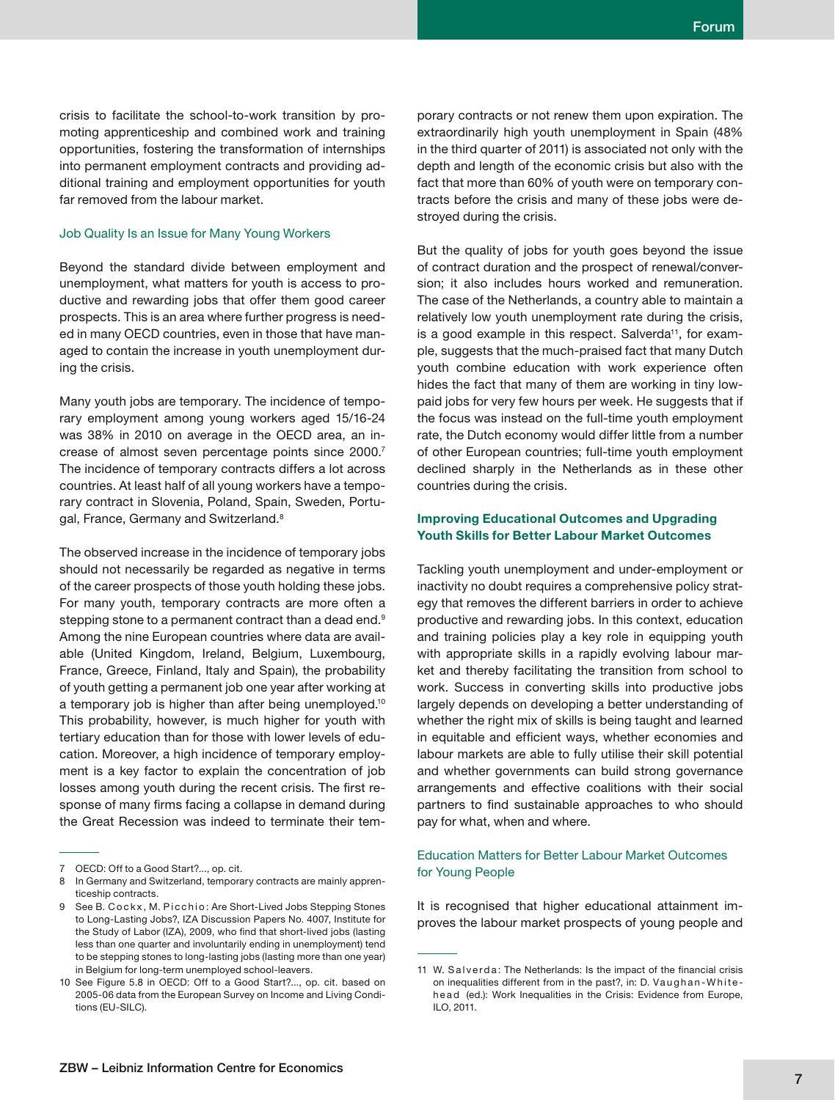crisis to facilitate the school-to-work transition by promoting apprenticeship and combined work and training opportunities, fostering the transformation of internships into permanent employment contracts and providing additional training and employment opportunities for youth far removed from the labour market.

#### Job Quality Is an Issue for Many Young Workers

Beyond the standard divide between employment and unemployment, what matters for youth is access to productive and rewarding jobs that offer them good career prospects. This is an area where further progress is needed in many OECD countries, even in those that have managed to contain the increase in youth unemployment during the crisis.

Many youth jobs are temporary. The incidence of temporary employment among young workers aged 15/16-24 was 38% in 2010 on average in the OECD area, an increase of almost seven percentage points since 2000.7 The incidence of temporary contracts differs a lot across countries. At least half of all young workers have a temporary contract in Slovenia, Poland, Spain, Sweden, Portugal, France, Germany and Switzerland.<sup>8</sup>

The observed increase in the incidence of temporary jobs should not necessarily be regarded as negative in terms of the career prospects of those youth holding these jobs. For many youth, temporary contracts are more often a stepping stone to a permanent contract than a dead end.<sup>9</sup> Among the nine European countries where data are available (United Kingdom, Ireland, Belgium, Luxembourg, France, Greece, Finland, Italy and Spain), the probability of youth getting a permanent job one year after working at a temporary job is higher than after being unemployed.<sup>10</sup> This probability, however, is much higher for youth with tertiary education than for those with lower levels of education. Moreover, a high incidence of temporary employment is a key factor to explain the concentration of job losses among youth during the recent crisis. The first response of many firms facing a collapse in demand during the Great Recession was indeed to terminate their tem-

porary contracts or not renew them upon expiration. The extraordinarily high youth unemployment in Spain (48% in the third quarter of 2011) is associated not only with the depth and length of the economic crisis but also with the fact that more than 60% of youth were on temporary contracts before the crisis and many of these jobs were destroyed during the crisis.

But the quality of jobs for youth goes beyond the issue of contract duration and the prospect of renewal/conversion; it also includes hours worked and remuneration. The case of the Netherlands, a country able to maintain a relatively low youth unemployment rate during the crisis, is a good example in this respect. Salverda<sup>11</sup>, for example, suggests that the much-praised fact that many Dutch youth combine education with work experience often hides the fact that many of them are working in tiny lowpaid jobs for very few hours per week. He suggests that if the focus was instead on the full-time youth employment rate, the Dutch economy would differ little from a number of other European countries; full-time youth employment declined sharply in the Netherlands as in these other countries during the crisis.

# **Improving Educational Outcomes and Upgrading Youth Skills for Better Labour Market Outcomes**

Tackling youth unemployment and under-employment or inactivity no doubt requires a comprehensive policy strategy that removes the different barriers in order to achieve productive and rewarding jobs. In this context, education and training policies play a key role in equipping youth with appropriate skills in a rapidly evolving labour market and thereby facilitating the transition from school to work. Success in converting skills into productive jobs largely depends on developing a better understanding of whether the right mix of skills is being taught and learned in equitable and efficient ways, whether economies and labour markets are able to fully utilise their skill potential and whether governments can build strong governance arrangements and effective coalitions with their social partners to find sustainable approaches to who should pay for what, when and where.

# Education Matters for Better Labour Market Outcomes for Young People

It is recognised that higher educational attainment improves the labour market prospects of young people and

<sup>7</sup> OECD: Off to a Good Start?..., op. cit.

<sup>8</sup> In Germany and Switzerland, temporary contracts are mainly apprenticeship contracts.

<sup>9</sup> See B. Cockx, M. Picchio: Are Short-Lived Jobs Stepping Stones to Long-Lasting Jobs?, IZA Discussion Papers No. 4007, Institute for the Study of Labor (IZA), 2009, who find that short-lived jobs (lasting less than one quarter and involuntarily ending in unemployment) tend to be stepping stones to long-lasting jobs (lasting more than one year) in Belgium for long-term unemployed school-leavers.

<sup>10</sup> See Figure 5.8 in OECD: Off to a Good Start?..., op. cit. based on 2005-06 data from the European Survey on Income and Living Conditions (EU-SILC).

<sup>11</sup> W. Salverda: The Netherlands: Is the impact of the financial crisis on inequalities different from in the past?, in: D. Vaughan-Whitehead (ed.): Work Inequalities in the Crisis: Evidence from Europe, ILO, 2011.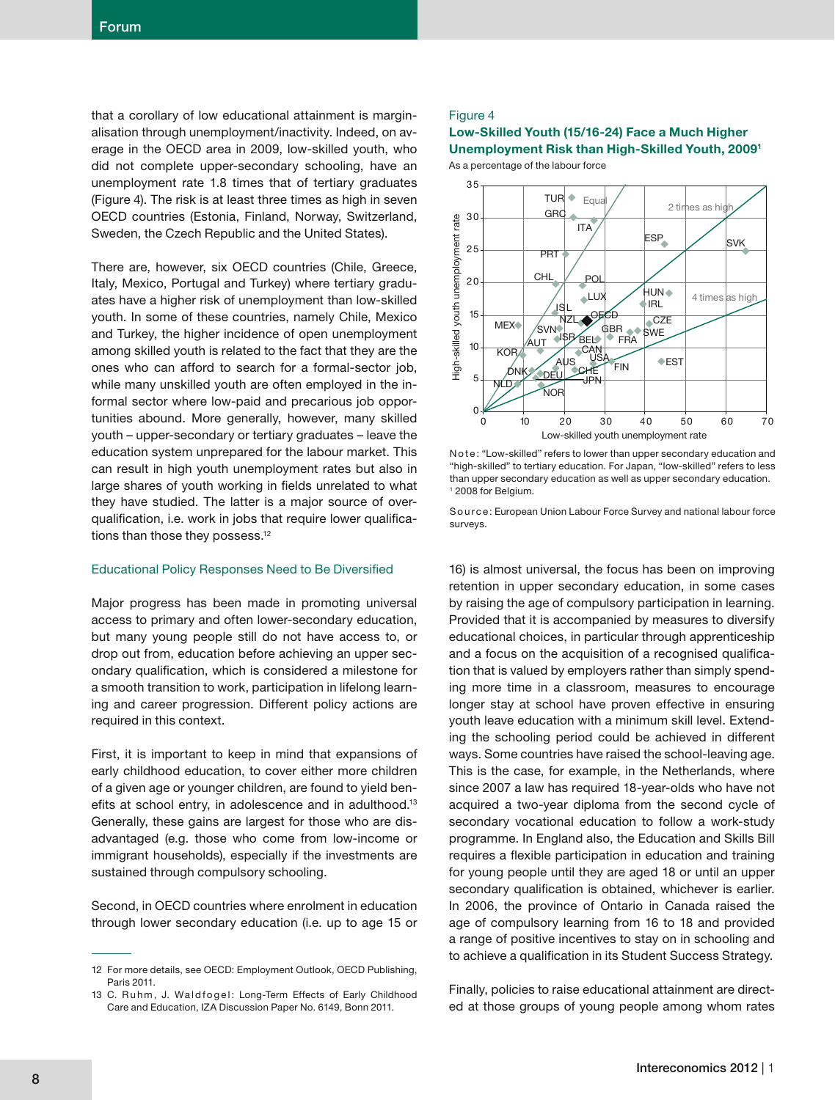that a corollary of low educational attainment is marginalisation through unemployment/inactivity. Indeed, on average in the OECD area in 2009, low-skilled youth, who did not complete upper-secondary schooling, have an unemployment rate 1.8 times that of tertiary graduates (Figure 4). The risk is at least three times as high in seven OECD countries (Estonia, Finland, Norway, Switzerland, Sweden, the Czech Republic and the United States).

There are, however, six OECD countries (Chile, Greece, Italy, Mexico, Portugal and Turkey) where tertiary graduates have a higher risk of unemployment than low-skilled youth. In some of these countries, namely Chile, Mexico and Turkey, the higher incidence of open unemployment among skilled youth is related to the fact that they are the ones who can afford to search for a formal-sector job, while many unskilled youth are often employed in the informal sector where low-paid and precarious job opportunities abound. More generally, however, many skilled youth – upper-secondary or tertiary graduates – leave the education system unprepared for the labour market. This can result in high youth unemployment rates but also in large shares of youth working in fields unrelated to what they have studied. The latter is a major source of overqualification, i.e. work in jobs that require lower qualifications than those they possess.<sup>12</sup>

### Educational Policy Responses Need to Be Diversified

Major progress has been made in promoting universal access to primary and often lower-secondary education, but many young people still do not have access to, or drop out from, education before achieving an upper secondary qualification, which is considered a milestone for a smooth transition to work, participation in lifelong learning and career progression. Different policy actions are required in this context.

First, it is important to keep in mind that expansions of early childhood education, to cover either more children of a given age or younger children, are found to yield benefits at school entry, in adolescence and in adulthood.<sup>13</sup> Generally, these gains are largest for those who are disadvantaged (e.g. those who come from low-income or immigrant households), especially if the investments are sustained through compulsory schooling.

Second, in OECD countries where enrolment in education through lower secondary education (i.e. up to age 15 or

#### Figure 4

**Low-Skilled Youth (15/16-24) Face a Much Higher Unemployment Risk than High-Skilled Youth, 20091** As a percentage of the labour force



Note: "Low-skilled" refers to lower than upper secondary education and "high-skilled" to tertiary education. For Japan, "low-skilled" refers to less than upper secondary education as well as upper secondary education. 1 2008 for Belgium.

Source: European Union Labour Force Survey and national labour force surveys.

16) is almost universal, the focus has been on improving retention in upper secondary education, in some cases by raising the age of compulsory participation in learning. Provided that it is accompanied by measures to diversify educational choices, in particular through apprenticeship and a focus on the acquisition of a recognised qualification that is valued by employers rather than simply spending more time in a classroom, measures to encourage longer stay at school have proven effective in ensuring youth leave education with a minimum skill level. Extending the schooling period could be achieved in different ways. Some countries have raised the school-leaving age. This is the case, for example, in the Netherlands, where since 2007 a law has required 18-year-olds who have not acquired a two-year diploma from the second cycle of secondary vocational education to follow a work-study programme. In England also, the Education and Skills Bill requires a flexible participation in education and training for young people until they are aged 18 or until an upper secondary qualification is obtained, whichever is earlier. In 2006, the province of Ontario in Canada raised the age of compulsory learning from 16 to 18 and provided a range of positive incentives to stay on in schooling and to achieve a qualification in its Student Success Strategy.

Finally, policies to raise educational attainment are directed at those groups of young people among whom rates

<sup>12</sup> For more details, see OECD: Employment Outlook, OECD Publishing, Paris 2011.

<sup>13</sup> C. Ruhm, J. Waldfogel: Long-Term Effects of Early Childhood Care and Education, IZA Discussion Paper No. 6149, Bonn 2011.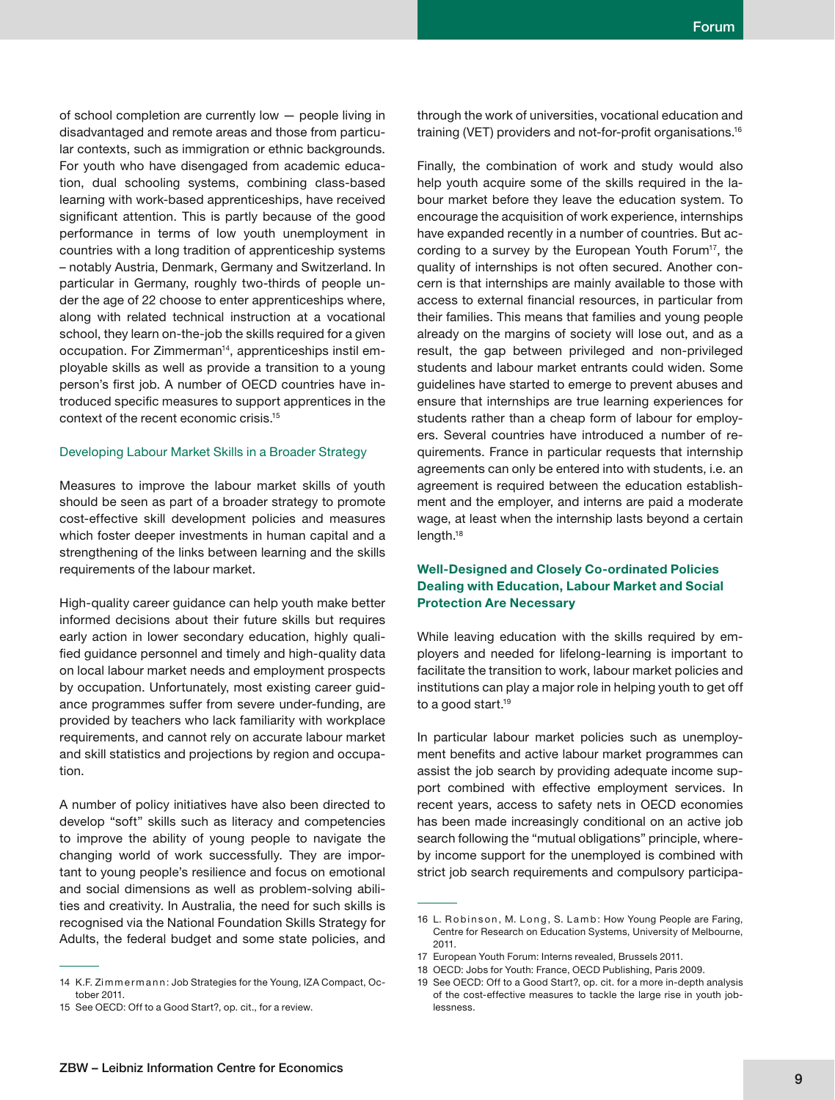of school completion are currently low — people living in disadvantaged and remote areas and those from particular contexts, such as immigration or ethnic backgrounds. For youth who have disengaged from academic education, dual schooling systems, combining class-based learning with work-based apprenticeships, have received significant attention. This is partly because of the good performance in terms of low youth unemployment in countries with a long tradition of apprenticeship systems – notably Austria, Denmark, Germany and Switzerland. In particular in Germany, roughly two-thirds of people under the age of 22 choose to enter apprenticeships where, along with related technical instruction at a vocational school, they learn on-the-job the skills required for a given occupation. For Zimmerman<sup>14</sup>, apprenticeships instil employable skills as well as provide a transition to a young person's first job. A number of OECD countries have introduced specific measures to support apprentices in the context of the recent economic crisis.15

#### Developing Labour Market Skills in a Broader Strategy

Measures to improve the labour market skills of youth should be seen as part of a broader strategy to promote cost-effective skill development policies and measures which foster deeper investments in human capital and a strengthening of the links between learning and the skills requirements of the labour market.

High-quality career guidance can help youth make better informed decisions about their future skills but requires early action in lower secondary education, highly qualified guidance personnel and timely and high-quality data on local labour market needs and employment prospects by occupation. Unfortunately, most existing career guidance programmes suffer from severe under-funding, are provided by teachers who lack familiarity with workplace requirements, and cannot rely on accurate labour market and skill statistics and projections by region and occupation.

A number of policy initiatives have also been directed to develop "soft" skills such as literacy and competencies to improve the ability of young people to navigate the changing world of work successfully. They are important to young people's resilience and focus on emotional and social dimensions as well as problem-solving abilities and creativity. In Australia, the need for such skills is recognised via the National Foundation Skills Strategy for Adults, the federal budget and some state policies, and

through the work of universities, vocational education and training (VET) providers and not-for-profit organisations.<sup>16</sup>

Finally, the combination of work and study would also help youth acquire some of the skills required in the labour market before they leave the education system. To encourage the acquisition of work experience, internships have expanded recently in a number of countries. But according to a survey by the European Youth Forum<sup>17</sup>, the quality of internships is not often secured. Another concern is that internships are mainly available to those with access to external financial resources, in particular from their families. This means that families and young people already on the margins of society will lose out, and as a result, the gap between privileged and non-privileged students and labour market entrants could widen. Some guidelines have started to emerge to prevent abuses and ensure that internships are true learning experiences for students rather than a cheap form of labour for employers. Several countries have introduced a number of requirements. France in particular requests that internship agreements can only be entered into with students, i.e. an agreement is required between the education establishment and the employer, and interns are paid a moderate wage, at least when the internship lasts beyond a certain length.<sup>18</sup>

# **Well-Designed and Closely Co-ordinated Policies Dealing with Education, Labour Market and Social Protection Are Necessary**

While leaving education with the skills required by employers and needed for lifelong-learning is important to facilitate the transition to work, labour market policies and institutions can play a major role in helping youth to get off to a good start.19

In particular labour market policies such as unemployment benefits and active labour market programmes can assist the job search by providing adequate income support combined with effective employment services. In recent years, access to safety nets in OECD economies has been made increasingly conditional on an active job search following the "mutual obligations" principle, whereby income support for the unemployed is combined with strict job search requirements and compulsory participa-

<sup>14</sup> K.F. Zimmermann: Job Strategies for the Young, IZA Compact, October 2011.

<sup>15</sup> See OECD: Off to a Good Start?, op. cit., for a review.

<sup>16</sup> L. Robinson, M. Long, S. Lamb: How Young People are Faring, Centre for Research on Education Systems, University of Melbourne, 2011.

<sup>17</sup> European Youth Forum: Interns revealed, Brussels 2011.

<sup>18</sup> OECD: Jobs for Youth: France, OECD Publishing, Paris 2009.

<sup>19</sup> See OECD: Off to a Good Start?, op. cit. for a more in-depth analysis of the cost-effective measures to tackle the large rise in youth joblessness.